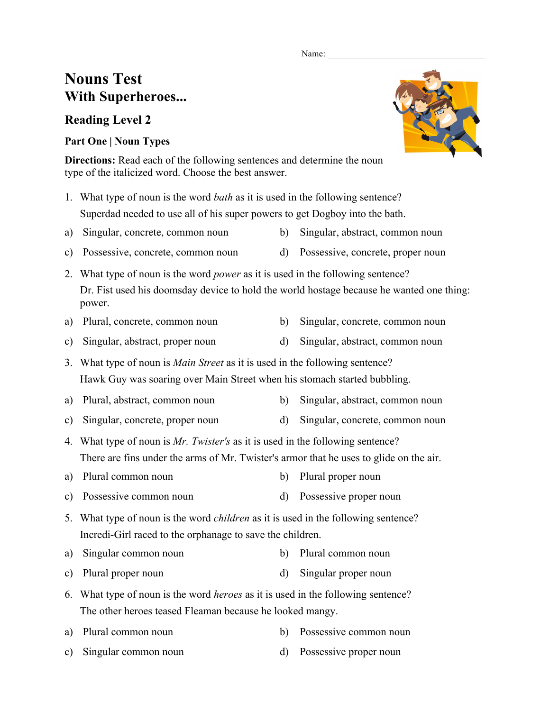#### Name:

# **Nouns Test With Superheroes...**

## **Reading Level 2**

### **Part One | Noun Types**

**Directions:** Read each of the following sentences and determine the noun type of the italicized word. Choose the best answer.

- 1. What type of noun is the word *bath* as it is used in the following sentence? Superdad needed to use all of his super powers to get Dogboy into the bath.
- a) Singular, concrete, common noun b) Singular, abstract, common noun
- c) Possessive, concrete, common noun d) Possessive, concrete, proper noun
- 2. What type of noun is the word *power* as it is used in the following sentence? Dr. Fist used his doomsday device to hold the world hostage because he wanted one thing: power.
- a) Plural, concrete, common noun b) Singular, concrete, common noun
- c) Singular, abstract, proper noun d) Singular, abstract, common noun

3. What type of noun is *Main Street* as it is used in the following sentence? Hawk Guy was soaring over Main Street when his stomach started bubbling.

- a) Plural, abstract, common noun b) Singular, abstract, common noun
- c) Singular, concrete, proper noun d) Singular, concrete, common noun
- 4. What type of noun is *Mr. Twister's* as it is used in the following sentence? There are fins under the arms of Mr. Twister's armor that he uses to glide on the air.
- a) Plural common noun b) Plural proper noun
- c) Possessive common noun d) Possessive proper noun
- 5. What type of noun is the word *children* as it is used in the following sentence? Incredi-Girl raced to the orphanage to save the children.
- a) Singular common noun b) Plural common noun
- c) Plural proper noun d) Singular proper noun
- 6. What type of noun is the word *heroes* as it is used in the following sentence? The other heroes teased Fleaman because he looked mangy.
- a) Plural common noun b) Possessive common noun
- c) Singular common noun d) Possessive proper noun



- 
- -
- -
	-
	-
- 
- -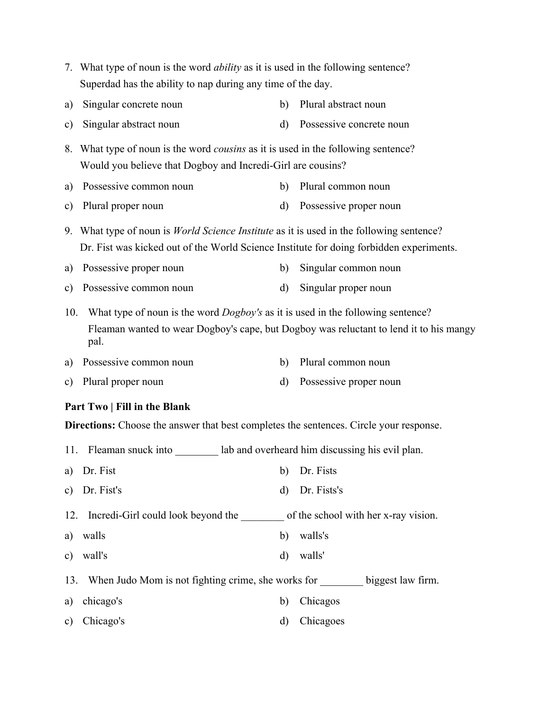Superdad has the ability to nap during any time of the day. a) Singular concrete noun b) Plural abstract noun c) Singular abstract noun d) Possessive concrete noun 8. What type of noun is the word *cousins* as it is used in the following sentence? Would you believe that Dogboy and Incredi-Girl are cousins? a) Possessive common noun b) Plural common noun

7. What type of noun is the word *ability* as it is used in the following sentence?

- c) Plural proper noun d) Possessive proper noun
- 9. What type of noun is *World Science Institute* as it is used in the following sentence? Dr. Fist was kicked out of the World Science Institute for doing forbidden experiments.
- a) Possessive proper noun b) Singular common noun
- c) Possessive common noun d) Singular proper noun

10. What type of noun is the word *Dogboy's* as it is used in the following sentence? Fleaman wanted to wear Dogboy's cape, but Dogboy was reluctant to lend it to his mangy pal.

- a) Possessive common noun b) Plural common noun
- c) Plural proper noun d) Possessive proper noun

#### **Part Two | Fill in the Blank**

**Directions:** Choose the answer that best completes the sentences. Circle your response.

- 11. Fleaman snuck into lab and overheard him discussing his evil plan.
- a) Dr. Fist b) Dr. Fists
- c) Dr. Fist's d) Dr. Fists's
- 12. Incredi-Girl could look beyond the \_\_\_\_\_\_\_\_ of the school with her x-ray vision.
- a) walls b) walls's
- c) wall's d) walls'
- 13. When Judo Mom is not fighting crime, she works for \_\_\_\_\_\_\_\_ biggest law firm.
- a) chicago's b) Chicagos
- c) Chicago's d) Chicagoes
- 
- 
- 
- -
- -
-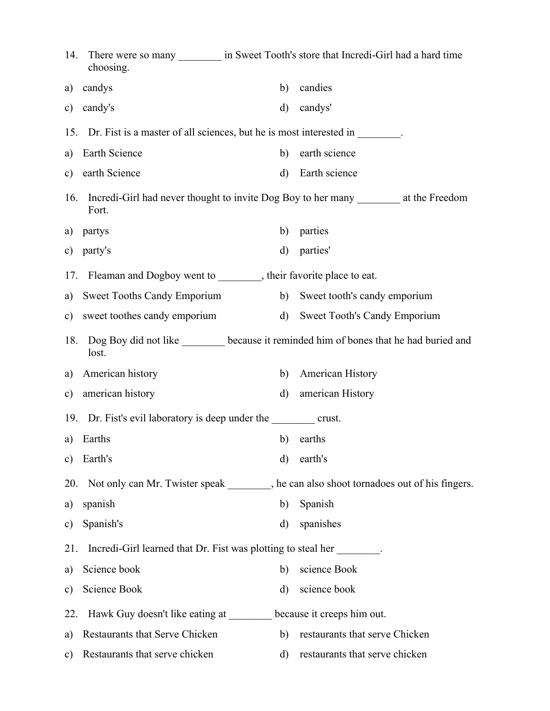|               | choosing.                                                                                |              | 14. There were so many _________ in Sweet Tooth's store that Incredi-Girl had a hard time |  |  |  |
|---------------|------------------------------------------------------------------------------------------|--------------|-------------------------------------------------------------------------------------------|--|--|--|
| a)            | candys                                                                                   | b)           | candies                                                                                   |  |  |  |
| c)            | candy's                                                                                  | $\mathbf{d}$ | candys'                                                                                   |  |  |  |
|               | 15. Dr. Fist is a master of all sciences, but he is most interested in ________.         |              |                                                                                           |  |  |  |
| a)            | Earth Science                                                                            | b)           | earth science                                                                             |  |  |  |
| c)            | earth Science                                                                            | $\mathbf{d}$ | Earth science                                                                             |  |  |  |
| 16.           | Fort.                                                                                    |              |                                                                                           |  |  |  |
| a)            | partys                                                                                   | b)           | parties                                                                                   |  |  |  |
| c)            | party's                                                                                  | $\rm d$      | parties'                                                                                  |  |  |  |
|               | 17. Fleaman and Dogboy went to ________, their favorite place to eat.                    |              |                                                                                           |  |  |  |
| a)            | Sweet Tooths Candy Emporium                                                              |              | b) Sweet tooth's candy emporium                                                           |  |  |  |
|               | c) sweet toothes candy emporium                                                          | $\mathbf{d}$ | <b>Sweet Tooth's Candy Emporium</b>                                                       |  |  |  |
| 18.           | lost.                                                                                    |              | Dog Boy did not like _______ because it reminded him of bones that he had buried and      |  |  |  |
| a)            | American history                                                                         | b)           | American History                                                                          |  |  |  |
| c)            | american history                                                                         | $\mathbf{d}$ | american History                                                                          |  |  |  |
|               | 19. Dr. Fist's evil laboratory is deep under the crust.                                  |              |                                                                                           |  |  |  |
| a)            | Earths                                                                                   | b)           | earths                                                                                    |  |  |  |
| $\mathbf{c})$ | Earth's                                                                                  | $\rm d$      | earth's                                                                                   |  |  |  |
| 20.           | Not only can Mr. Twister speak ________, he can also shoot tornadoes out of his fingers. |              |                                                                                           |  |  |  |
| a)            | spanish                                                                                  | b)           | Spanish                                                                                   |  |  |  |
| c)            | Spanish's                                                                                | d)           | spanishes                                                                                 |  |  |  |
| 21.           | Incredi-Girl learned that Dr. Fist was plotting to steal her                             |              |                                                                                           |  |  |  |
| a)            | Science book                                                                             | b)           | science Book                                                                              |  |  |  |
| c)            | Science Book                                                                             | d)           | science book                                                                              |  |  |  |
| 22.           | Hawk Guy doesn't like eating at ________ because it creeps him out.                      |              |                                                                                           |  |  |  |
| a)            | Restaurants that Serve Chicken                                                           | b)           | restaurants that serve Chicken                                                            |  |  |  |
| c)            | Restaurants that serve chicken                                                           | d)           | restaurants that serve chicken                                                            |  |  |  |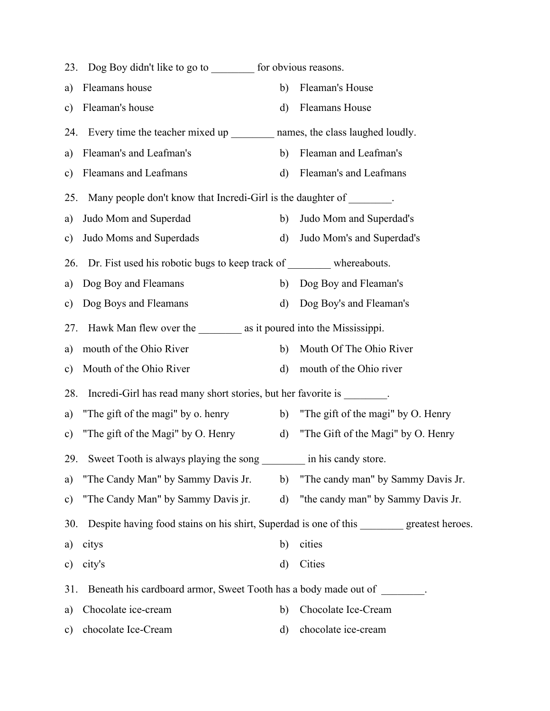|                                                                                                    | Dog Boy didn't like to go to __________ for obvious reasons.<br>23.                  |              |                                    |  |  |  |
|----------------------------------------------------------------------------------------------------|--------------------------------------------------------------------------------------|--------------|------------------------------------|--|--|--|
|                                                                                                    | Fleamans house<br>a)                                                                 | b)           | Fleaman's House                    |  |  |  |
|                                                                                                    | Fleaman's house<br>c)                                                                | $\rm d)$     | Fleamans House                     |  |  |  |
|                                                                                                    | Every time the teacher mixed up ____________ names, the class laughed loudly.<br>24. |              |                                    |  |  |  |
|                                                                                                    | Fleaman's and Leafman's<br>a)                                                        | b)           | Fleaman and Leafman's              |  |  |  |
|                                                                                                    | Fleamans and Leafmans<br>c)                                                          | d)           | Fleaman's and Leafmans             |  |  |  |
|                                                                                                    | Many people don't know that Incredi-Girl is the daughter of ________.<br>25.         |              |                                    |  |  |  |
|                                                                                                    | Judo Mom and Superdad<br>a)                                                          | b)           | Judo Mom and Superdad's            |  |  |  |
|                                                                                                    | Judo Moms and Superdads<br>c)                                                        | d)           | Judo Mom's and Superdad's          |  |  |  |
| Dr. Fist used his robotic bugs to keep track of ___________ whereabouts.<br>26.                    |                                                                                      |              |                                    |  |  |  |
|                                                                                                    | Dog Boy and Fleamans<br>a)                                                           |              | b) Dog Boy and Fleaman's           |  |  |  |
|                                                                                                    | Dog Boys and Fleamans<br>c)                                                          | d)           | Dog Boy's and Fleaman's            |  |  |  |
| 27.                                                                                                |                                                                                      |              |                                    |  |  |  |
|                                                                                                    | mouth of the Ohio River<br>a)                                                        | b)           | Mouth Of The Ohio River            |  |  |  |
|                                                                                                    | Mouth of the Ohio River<br>$\mathbf{c})$                                             | $\rm d)$     | mouth of the Ohio river            |  |  |  |
|                                                                                                    | 28.<br>Incredi-Girl has read many short stories, but her favorite is                 |              |                                    |  |  |  |
|                                                                                                    | "The gift of the magi" by o. henry<br>a)                                             | b)           | "The gift of the magi" by O. Henry |  |  |  |
|                                                                                                    | "The gift of the Magi" by O. Henry<br>$\mathbf{c})$                                  | $\mathbf{d}$ | "The Gift of the Magi" by O. Henry |  |  |  |
|                                                                                                    | Sweet Tooth is always playing the song<br>29.                                        |              | in his candy store.                |  |  |  |
|                                                                                                    | "The Candy Man" by Sammy Davis Jr.<br>a)                                             | b)           | "The candy man" by Sammy Davis Jr. |  |  |  |
|                                                                                                    | "The Candy Man" by Sammy Davis jr.<br>$\mathbf{c})$                                  | d)           | "the candy man" by Sammy Davis Jr. |  |  |  |
| Despite having food stains on his shirt, Superdad is one of this _________ greatest heroes.<br>30. |                                                                                      |              |                                    |  |  |  |
|                                                                                                    | citys<br>a)                                                                          | cities<br>b) |                                    |  |  |  |
|                                                                                                    | city's<br>c)                                                                         | Cities<br>d) |                                    |  |  |  |
|                                                                                                    | Beneath his cardboard armor, Sweet Tooth has a body made out of<br>31.               |              |                                    |  |  |  |
|                                                                                                    | Chocolate ice-cream<br>a)                                                            | b)           | Chocolate Ice-Cream                |  |  |  |
|                                                                                                    | chocolate Ice-Cream<br>$\mathbf{c})$                                                 | d)           | chocolate ice-cream                |  |  |  |
|                                                                                                    |                                                                                      |              |                                    |  |  |  |